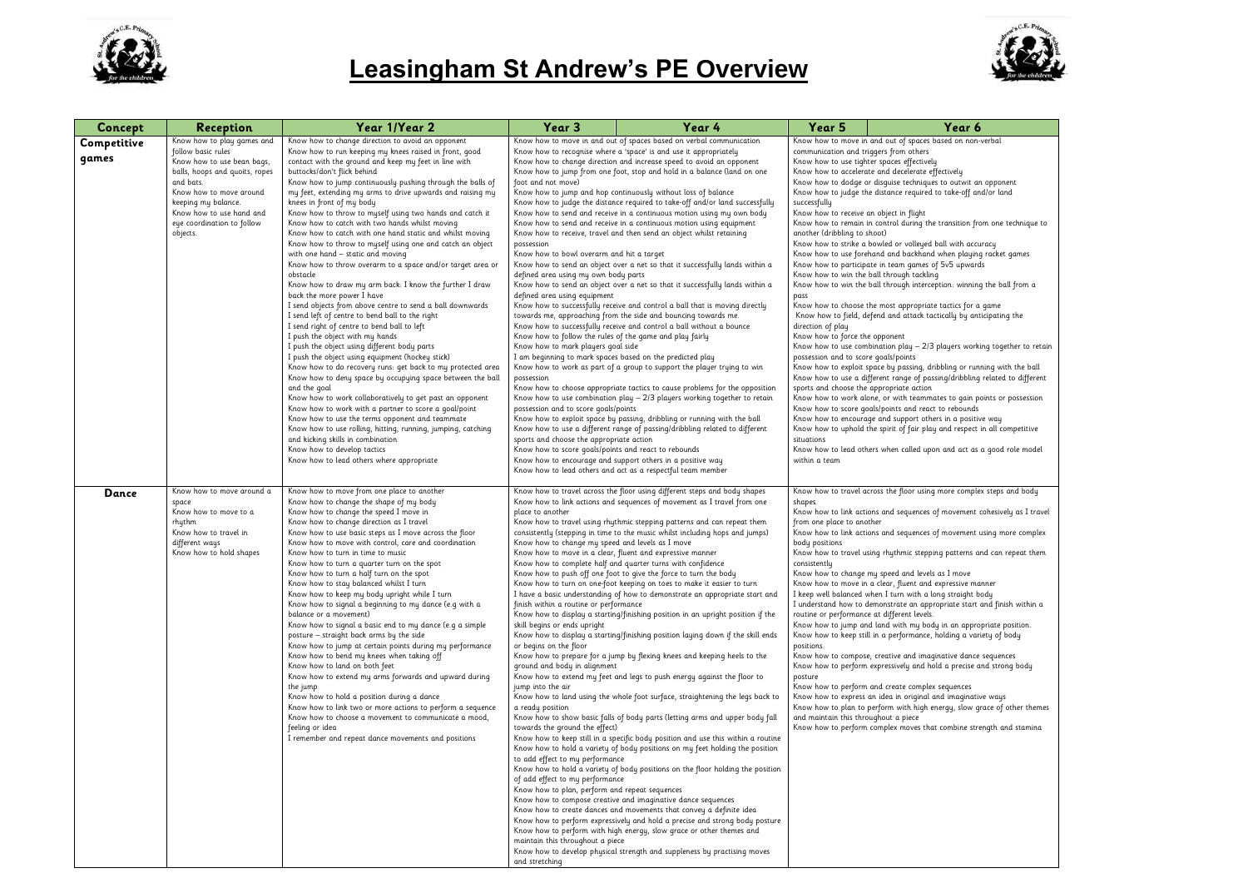

## **Leasingham St Andrew's PE Overview**

| Concept              | <b>Reception</b>                                                                                                                                                                                                                                      | Year 1/Year 2                                                                                                                                                                                                                                                                                                                                                                                                                                                                                                                                                                                                                                                                                                                                                                                                                                                                                                                                                                                                                                                                                                                                                                                                                                                                                                                                                                                                                                                                                                                                                                                                           | Year 3                                                                                                                                                                                                                                                                                                                                                                                                                                                                                                                                                                                                                                                                                                                                                                                                                                                                                                                                                                                                                                                                                                                                                                                                                                                                                                                                                                                                                                                                                                                                                                                                                                                                                                                                                                                                                                                                                                                                                                                                                                                                         | Year 4                                                                                                                                                                                                                                                                                                                                                                                                                                                                                                                                                                                                                                                                                                                                                                                                                                                                                                                                                                                                                                                                                                                                                                                                                                                                                                                                                                                                                                                                                                                                                                                                                                                                                                                                    | Year 5                                                                                                                                                                                                                                                                                                              | Year 6                                                                                                                                                                                                                                                                                                                                                                                                                                                                                                                                                                                                                                                                                                                                                                                                                                                                                                                                                                                                                                                                                                                                                                                                                                                                                                                                                                                            |
|----------------------|-------------------------------------------------------------------------------------------------------------------------------------------------------------------------------------------------------------------------------------------------------|-------------------------------------------------------------------------------------------------------------------------------------------------------------------------------------------------------------------------------------------------------------------------------------------------------------------------------------------------------------------------------------------------------------------------------------------------------------------------------------------------------------------------------------------------------------------------------------------------------------------------------------------------------------------------------------------------------------------------------------------------------------------------------------------------------------------------------------------------------------------------------------------------------------------------------------------------------------------------------------------------------------------------------------------------------------------------------------------------------------------------------------------------------------------------------------------------------------------------------------------------------------------------------------------------------------------------------------------------------------------------------------------------------------------------------------------------------------------------------------------------------------------------------------------------------------------------------------------------------------------------|--------------------------------------------------------------------------------------------------------------------------------------------------------------------------------------------------------------------------------------------------------------------------------------------------------------------------------------------------------------------------------------------------------------------------------------------------------------------------------------------------------------------------------------------------------------------------------------------------------------------------------------------------------------------------------------------------------------------------------------------------------------------------------------------------------------------------------------------------------------------------------------------------------------------------------------------------------------------------------------------------------------------------------------------------------------------------------------------------------------------------------------------------------------------------------------------------------------------------------------------------------------------------------------------------------------------------------------------------------------------------------------------------------------------------------------------------------------------------------------------------------------------------------------------------------------------------------------------------------------------------------------------------------------------------------------------------------------------------------------------------------------------------------------------------------------------------------------------------------------------------------------------------------------------------------------------------------------------------------------------------------------------------------------------------------------------------------|-------------------------------------------------------------------------------------------------------------------------------------------------------------------------------------------------------------------------------------------------------------------------------------------------------------------------------------------------------------------------------------------------------------------------------------------------------------------------------------------------------------------------------------------------------------------------------------------------------------------------------------------------------------------------------------------------------------------------------------------------------------------------------------------------------------------------------------------------------------------------------------------------------------------------------------------------------------------------------------------------------------------------------------------------------------------------------------------------------------------------------------------------------------------------------------------------------------------------------------------------------------------------------------------------------------------------------------------------------------------------------------------------------------------------------------------------------------------------------------------------------------------------------------------------------------------------------------------------------------------------------------------------------------------------------------------------------------------------------------------|---------------------------------------------------------------------------------------------------------------------------------------------------------------------------------------------------------------------------------------------------------------------------------------------------------------------|---------------------------------------------------------------------------------------------------------------------------------------------------------------------------------------------------------------------------------------------------------------------------------------------------------------------------------------------------------------------------------------------------------------------------------------------------------------------------------------------------------------------------------------------------------------------------------------------------------------------------------------------------------------------------------------------------------------------------------------------------------------------------------------------------------------------------------------------------------------------------------------------------------------------------------------------------------------------------------------------------------------------------------------------------------------------------------------------------------------------------------------------------------------------------------------------------------------------------------------------------------------------------------------------------------------------------------------------------------------------------------------------------|
| Competitive<br>games | Know how to play games and<br>follow basic rules<br>Know how to use bean bags,<br>balls, hoops and quoits, ropes<br>and bats.<br>Know how to move around<br>keeping my balance.<br>Know how to use hand and<br>eye coordination to follow<br>objects. | Know how to change direction to avoid an opponent<br>Know how to run keeping my knees raised in front, good<br>contact with the ground and keep my feet in line with<br>buttocks/don't flick behind<br>Know how to jump continuously pushing through the balls of<br>my feet, extending my arms to drive upwards and raising my<br>knees in front of my body<br>Know how to throw to myself using two hands and catch it<br>Know how to catch with two hands whilst moving<br>Know how to catch with one hand static and whilst moving<br>Know how to throw to myself using one and catch an object<br>with one hand - static and moving<br>Know how to throw overarm to a space and/or target area or<br>obstacle<br>Know how to draw my arm back: I know the further I draw<br>back the more power I have<br>I send objects from above centre to send a ball downwards<br>I send left of centre to bend ball to the right<br>I send right of centre to bend ball to left<br>I push the object with my hands<br>I push the object using different body parts<br>I push the object using equipment (hockey stick)<br>Know how to do recovery runs: get back to my protected area<br>Know how to deny space by occupying space between the ball<br>and the goal<br>Know how to work collaboratively to get past an opponent<br>Know how to work with a partner to score a goal/point<br>Know how to use the terms opponent and teammate<br>Know how to use rolling, hitting, running, jumping, catching<br>and kicking skills in combination<br>Know how to develop tactics<br>Know how to lead others where appropriate | Know how to move in and out of spaces based on verbal communication<br>Know how to recognise where a 'space' is and use it appropriately<br>Know how to change direction and increase speed to avoid an opponent<br>Know how to jump from one foot, stop and hold in a balance (land on one<br>foot and not move)<br>Know how to jump and hop continuously without loss of balance<br>Know how to judge the distance required to take-off and/or land successfully<br>Know how to send and receive in a continuous motion using my own body<br>Know how to send and receive in a continuous motion using equipment<br>Know how to receive, travel and then send an object whilst retaining<br>possession<br>Know how to bowl overarm and hit a target<br>Know how to send an object over a net so that it successfully lands within a<br>defined area using my own body parts<br>Know how to send an object over a net so that it successfully lands within a<br>defined area using equipment<br>Know how to successfully receive and control a ball that is moving directly<br>towards me, approaching from the side and bouncing towards me.<br>Know how to successfully receive and control a ball without a bounce<br>Know how to follow the rules of the game and play fairly<br>Know how to mark players goal side<br>I am beginning to mark spaces based on the predicted play<br>Know how to work as part of a group to support the player trying to win<br>possession<br>Know how to choose appropriate tactics to cause problems for the opposition<br>Know how to use combination play - 2/3 players working together to retain<br>possession and to score goals/points<br>Know how to exploit space by passing, dribbling or running with the ball<br>Know how to use a different range of passing/dribbling related to different<br>sports and choose the appropriate action<br>Know how to score goals/points and react to rebounds<br>Know how to encourage and support others in a positive way<br>Know how to lead others and act as a respectful team member |                                                                                                                                                                                                                                                                                                                                                                                                                                                                                                                                                                                                                                                                                                                                                                                                                                                                                                                                                                                                                                                                                                                                                                                                                                                                                                                                                                                                                                                                                                                                                                                                                                                                                                                                           | communication and triggers from others<br>successfully<br>Know how to receive an object in flight<br>another (dribbling to shoot)<br>pass<br>direction of play<br>Know how to force the opponent<br>possession and to score goals/points<br>sports and choose the appropriate action<br>situations<br>within a team | Know how to move in and out of spaces based on non-verbal<br>Know how to use tighter spaces effectively<br>Know how to accelerate and decelerate effectively<br>Know how to dodge or disguise techniques to outwit an opponent<br>Know how to judge the distance required to take-off and/or land<br>Know how to remain in control during the transition from one technic<br>Know how to strike a bowled or volleyed ball with accuracy<br>Know how to use forehand and backhand when playing racket games<br>Know how to participate in team games of 5v5 upwards<br>Know how to win the ball through tackling<br>Know how to win the ball through interception: winning the ball from<br>Know how to choose the most appropriate tactics for a game<br>Know how to field, defend and attack tactically by anticipating the<br>Know how to use combination play $-2/3$ players working together to<br>Know how to exploit space by passing, dribbling or running with the I<br>Know how to use a different range of passing/dribbling related to diff<br>Know how to work alone, or with teammates to gain points or posses<br>Know how to score goals/points and react to rebounds<br>Know how to encourage and support others in a positive way<br>Know how to uphold the spirit of fair play and respect in all competit<br>Know how to lead others when called upon and act as a good role m |
| Dance                | Know how to move around a<br>space<br>Know how to move to a<br>rhythm<br>Know how to travel in<br>different ways<br>Know how to hold shapes                                                                                                           | Know how to move from one place to another<br>Know how to change the shape of my body<br>Know how to change the speed I move in<br>Know how to change direction as I travel<br>Know how to use basic steps as I move across the floor<br>Know how to move with control, care and coordination<br>Know how to turn in time to music<br>Know how to turn a quarter turn on the spot<br>Know how to turn a half turn on the spot<br>Know how to stay balanced whilst I turn<br>Know how to keep my body upright while I turn<br>Know how to signal a beginning to my dance (e.g with a<br>balance or a movement)<br>Know how to signal a basic end to my dance (e.g a simple<br>posture - straight back arms by the side<br>Know how to jump at certain points during my performance<br>Know how to bend my knees when taking off<br>Know how to land on both feet<br>Know how to extend my arms forwards and upward during<br>the jump<br>Know how to hold a position during a dance<br>Know how to link two or more actions to perform a sequence<br>Know how to choose a movement to communicate a mood,<br>feeling or idea<br>I remember and repeat dance movements and positions                                                                                                                                                                                                                                                                                                                                                                                                                                      | place to another<br>Know how to change my speed and levels as I move<br>Know how to move in a clear, fluent and expressive manner<br>finish within a routine or performance<br>skill begins or ends upright<br>or begins on the floor<br>ground and body in alignment<br>jump into the air<br>a ready position<br>towards the ground the effect)<br>to add effect to my performance<br>of add effect to my performance<br>Know how to plan, perform and repeat sequences<br>maintain this throughout a piece<br>and stretching                                                                                                                                                                                                                                                                                                                                                                                                                                                                                                                                                                                                                                                                                                                                                                                                                                                                                                                                                                                                                                                                                                                                                                                                                                                                                                                                                                                                                                                                                                                                                 | Know how to travel across the floor using different steps and body shapes<br>Know how to link actions and sequences of movement as I travel from one<br>Know how to travel using rhythmic stepping patterns and can repeat them<br>consistently (stepping in time to the music whilst including hops and jumps)<br>Know how to complete half and quarter turns with confidence<br>Know how to push off one foot to give the force to turn the body<br>Know how to turn on one-foot keeping on toes to make it easier to turn<br>I have a basic understanding of how to demonstrate an appropriate start and<br>Know how to display a starting/finishing position in an upright position if the<br>Know how to display a starting/finishing position laying down if the skill ends<br>Know how to prepare for a jump by flexing knees and keeping heels to the<br>Know how to extend my feet and legs to push energy against the floor to<br>Know how to land using the whole foot surface, straightening the legs back to<br>Know how to show basic falls of body parts (letting arms and upper body fall<br>Know how to keep still in a specific body position and use this within a routine<br>Know how to hold a variety of body positions on my feet holding the position<br>Know how to hold a variety of body positions on the floor holding the position<br>Know how to compose creative and imaginative dance sequences<br>Know how to create dances and movements that convey a definite idea<br>Know how to perform expressively and hold a precise and strong body posture<br>Know how to perform with high energy, slow grace or other themes and<br>Know how to develop physical strength and suppleness by practising moves | shapes<br>from one place to another<br>body positions<br>consistently<br>routine or performance at different levels.<br>positions.<br>posture<br>and maintain this throughout a piece                                                                                                                               | Know how to travel across the floor using more complex steps and bo<br>Know how to link actions and sequences of movement cohesively as I<br>Know how to link actions and sequences of movement using more cor<br>Know how to travel using rhythmic stepping patterns and can repeat<br>Know how to change my speed and levels as I move<br>Know how to move in a clear, fluent and expressive manner<br>I keep well balanced when I turn with a long straight body<br>I understand how to demonstrate an appropriate start and finish with<br>Know how to jump and land with my body in an appropriate position<br>Know how to keep still in a performance, holding a variety of body<br>Know how to compose, creative and imaginative dance sequences<br>Know how to perform expressively and hold a precise and strong bod<br>Know how to perform and create complex sequences<br>Know how to express an idea in original and imaginative ways<br>Know how to plan to perform with high energy, slow grace of other t<br>Know how to perform complex moves that combine strength and stan                                                                                                                                                                                                                                                                                                      |



## Year 6<br>ed on non-verbal

ansition from one technique to

n: winning the ball from a

yers working together to retain

ing or running with the ball y/dribbling related to different

to gain points or possession rebounds in a positive way nt a positte tray<br>1d respect in all competitive

nd act as a good role model

## ore complex steps and body

kovement cohesively as I travel

kovement using more complex

patterns and can repeat them

I move ressive manner straight body  $\frac{1}{1}$  iate start and finish within a

tive dance sequences a precise and strong body

auences imaginative ways gy, slow grace of other themes

mbine strength and stamina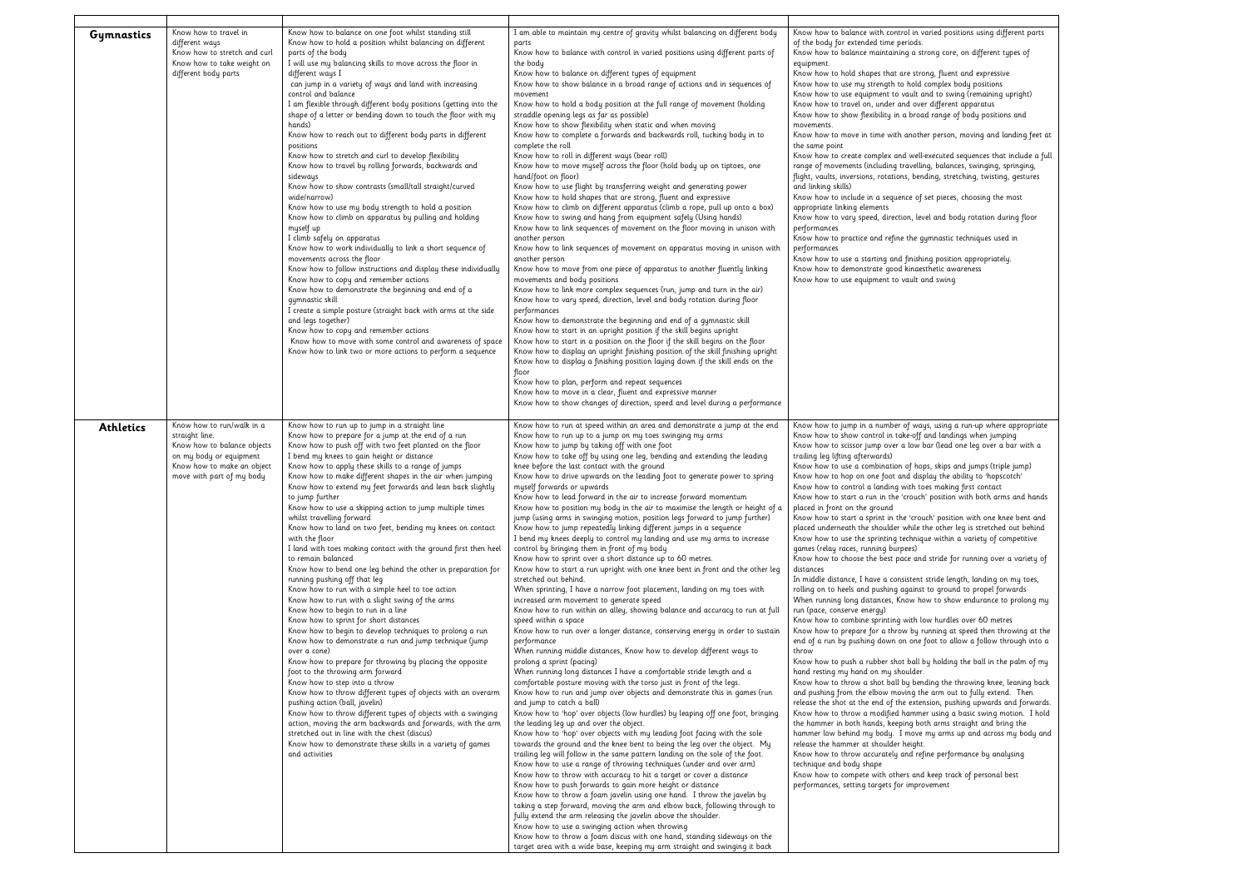| Gymnastics       | Know how to travel in<br>different ways<br>Know how to stretch and curl<br>Know how to take weight on<br>different body parts                                    | Know how to balance on one foot whilst standing still<br>Know how to hold a position whilst balancing on different<br>parts of the body<br>I will use my balancing skills to move across the floor in<br>different ways I<br>can jump in a variety of ways and land with increasing<br>control and balance<br>I am flexible through different body positions (getting into the<br>shape of a letter or bending down to touch the floor with my<br>hands)<br>Know how to reach out to different body parts in different<br>positions<br>Know how to stretch and curl to develop flexibility<br>Know how to travel by rolling forwards, backwards and<br>sideways<br>Know how to show contrasts (small/tall straight/curved<br>wide/narrow)<br>Know how to use my body strength to hold a position<br>Know how to climb on apparatus by pulling and holding<br>myself up<br>I climb safely on apparatus<br>Know how to work individually to link a short sequence of<br>movements across the floor<br>Know how to follow instructions and display these individually<br>Know how to copy and remember actions<br>Know how to demonstrate the beginning and end of a<br>gymnastic skill<br>I create a simple posture (straight back with arms at the side<br>and legs together)<br>Know how to copy and remember actions<br>Know how to move with some control and awareness of space<br>Know how to link two or more actions to perform a sequence                                                                                                                                                                  | I am able to maintain my centre of gravity whilst balancing on different body<br>parts<br>Know how to balance with control in varied positions using different parts of<br>the body<br>Know how to balance on different types of equipment<br>Know how to show balance in a broad range of actions and in sequences of<br>movement<br>Know how to hold a body position at the full range of movement (holding<br>straddle opening legs as far as possible)<br>Know how to show flexibility when static and when moving<br>Know how to complete a forwards and backwards roll, tucking body in to<br>complete the roll<br>Know how to roll in different ways (bear roll)<br>Know how to move myself across the floor (hold body up on tiptoes, one<br>hand/foot on floor)<br>Know how to use flight by transferring weight and generating power<br>Know how to hold shapes that are strong, fluent and expressive<br>Know how to climb on different apparatus (climb a rope, pull up onto a box)<br>Know how to swing and hang from equipment safely (Using hands)<br>Know how to link sequences of movement on the floor moving in unison with<br>another person<br>Know how to link sequences of movement on apparatus moving in unison with<br>another person<br>Know how to move from one piece of apparatus to another fluently linking<br>movements and body positions<br>Know how to link more complex sequences (run, jump and turn in the air)<br>Know how to vary speed, direction, level and body rotation during floor<br>performances<br>Know how to demonstrate the beginning and end of a gymnastic skill<br>Know how to start in an upright position if the skill begins upright<br>Know how to start in a position on the floor if the skill begins on the floor<br>Know how to display an upright finishing position of the skill finishing upright<br>Know how to display a finishing position laying down if the skill ends on the<br>floor<br>Know how to plan, perform and repeat sequences<br>Know how to move in a clear, fluent and expressive manner<br>Know how to show changes of direction, speed and level during a performance                                                                                                                                                                                                                                                                                                                                                                                                                                                                                                                                                                                                   | Know how to balance with control in varied positions using different parts<br>of the body for extended time periods.<br>Know how to balance maintaining a strong core, on different types of<br>equipment.<br>Know how to hold shapes that are strong, fluent and expressive<br>Know how to use my strength to hold complex body positions<br>Know how to use equipment to vault and to swing (remaining upright)<br>Know how to travel on, under and over different apparatus<br>Know how to show flexibility in a broad range of body positions and<br>movements.<br>Know how to move in time with another person, moving and landing feet at<br>the same point<br>Know how to create complex and well-executed sequences that include a full<br>range of movements (including travelling, balances, swinging, springing,<br>flight, vaults, inversions, rotations, bending, stretching, twisting, gestures<br>and linking skills)<br>Know how to include in a sequence of set pieces, choosing the most<br>appropriate linking elements<br>Know how to vary speed, direction, level and body rotation during floor<br>performances<br>Know how to practice and refine the gymnastic techniques used in<br>performances<br>Know how to use a starting and finishing position appropriately.<br>Know how to demonstrate good kinaesthetic awareness<br>Know how to use equipment to vault and swing                                                                                                                                                                                                                                                                                                                                                                                                                                                                                                                                                                                                                                                                                                                                                                                                                                                                                                      |
|------------------|------------------------------------------------------------------------------------------------------------------------------------------------------------------|-------------------------------------------------------------------------------------------------------------------------------------------------------------------------------------------------------------------------------------------------------------------------------------------------------------------------------------------------------------------------------------------------------------------------------------------------------------------------------------------------------------------------------------------------------------------------------------------------------------------------------------------------------------------------------------------------------------------------------------------------------------------------------------------------------------------------------------------------------------------------------------------------------------------------------------------------------------------------------------------------------------------------------------------------------------------------------------------------------------------------------------------------------------------------------------------------------------------------------------------------------------------------------------------------------------------------------------------------------------------------------------------------------------------------------------------------------------------------------------------------------------------------------------------------------------------------------------------------------------------|----------------------------------------------------------------------------------------------------------------------------------------------------------------------------------------------------------------------------------------------------------------------------------------------------------------------------------------------------------------------------------------------------------------------------------------------------------------------------------------------------------------------------------------------------------------------------------------------------------------------------------------------------------------------------------------------------------------------------------------------------------------------------------------------------------------------------------------------------------------------------------------------------------------------------------------------------------------------------------------------------------------------------------------------------------------------------------------------------------------------------------------------------------------------------------------------------------------------------------------------------------------------------------------------------------------------------------------------------------------------------------------------------------------------------------------------------------------------------------------------------------------------------------------------------------------------------------------------------------------------------------------------------------------------------------------------------------------------------------------------------------------------------------------------------------------------------------------------------------------------------------------------------------------------------------------------------------------------------------------------------------------------------------------------------------------------------------------------------------------------------------------------------------------------------------------------------------------------------------------------------------------------------------------------------------------------------------------------------------------------------------------------------------------------------------------------------------------------------------------------------------------------------------------------------------------------------------------------------------------------------------------------------------------------------------------------------------------------------------------------------------------|-----------------------------------------------------------------------------------------------------------------------------------------------------------------------------------------------------------------------------------------------------------------------------------------------------------------------------------------------------------------------------------------------------------------------------------------------------------------------------------------------------------------------------------------------------------------------------------------------------------------------------------------------------------------------------------------------------------------------------------------------------------------------------------------------------------------------------------------------------------------------------------------------------------------------------------------------------------------------------------------------------------------------------------------------------------------------------------------------------------------------------------------------------------------------------------------------------------------------------------------------------------------------------------------------------------------------------------------------------------------------------------------------------------------------------------------------------------------------------------------------------------------------------------------------------------------------------------------------------------------------------------------------------------------------------------------------------------------------------------------------------------------------------------------------------------------------------------------------------------------------------------------------------------------------------------------------------------------------------------------------------------------------------------------------------------------------------------------------------------------------------------------------------------------------------------------------------------------------------------------------------------------------------------------------------------|
| <b>Athletics</b> | Know how to run/walk in a<br>straight line.<br>Know how to balance objects<br>on my body or equipment<br>Know how to make an object<br>move with part of my body | Know how to run up to jump in a straight line<br>Know how to prepare for a jump at the end of a run<br>Know how to push off with two feet planted on the floor<br>I bend my knees to gain height or distance<br>Know how to apply these skills to a range of jumps<br>Know how to make different shapes in the air when jumping<br>Know how to extend my feet forwards and lean back slightly<br>to jump further<br>Know how to use a skipping action to jump multiple times<br>whilst travelling forward<br>Know how to land on two feet, bending my knees on contact<br>with the floor<br>I land with toes making contact with the ground first then heel<br>to remain balanced<br>Know how to bend one leg behind the other in preparation for<br>running pushing off that leg<br>Know how to run with a simple heel to toe action<br>Know how to run with a slight swing of the arms<br>Know how to begin to run in a line<br>Know how to sprint for short distances<br>Know how to begin to develop techniques to prolong a run<br>Know how to demonstrate a run and jump technique (jump<br>over a cone)<br>Know how to prepare for throwing by placing the opposite<br>foot to the throwing arm forward<br>Know how to step into a throw<br>Know how to throw different types of objects with an overarm<br>pushing action (ball, javelin)<br>Know how to throw different types of objects with a swinging<br>action, moving the arm backwards and forwards, with the arm<br>stretched out in line with the chest (discus)<br>Know how to demonstrate these skills in a variety of games<br>and activities | Know how to run at speed within an area and demonstrate a jump at the end<br>Know how to run up to a jump on my toes swinging my arms<br>Know how to jump by taking off with one foot<br>Know how to take off by using one leg, bending and extending the leading<br>knee before the last contact with the ground<br>Know how to drive upwards on the leading foot to generate power to spring<br>myself forwards or upwards<br>Know how to lead forward in the air to increase forward momentum<br>Know how to position my body in the air to maximise the length or height of a<br>jump (using arms in swinging motion, position legs forward to jump further)<br>Know how to jump repeatedly linking different jumps in a sequence<br>I bend my knees deeply to control my landing and use my arms to increase<br>control by bringing them in front of my body<br>Know how to sprint over a short distance up to 60 metres.<br>Know how to start a run upright with one knee bent in front and the other leg<br>stretched out behind.<br>When sprinting, I have a narrow foot placement, landing on my toes with<br>increased arm movement to generate speed<br>Know how to run within an alley, showing balance and accuracy to run at full<br>speed within a space<br>Know how to run over a longer distance, conserving energy in order to sustain<br>performance<br>When running middle distances, Know how to develop different ways to<br>prolong a sprint (pacing)<br>When running long distances I have a comfortable stride length and a<br>comfortable posture moving with the torso just in front of the legs.<br>Know how to run and jump over objects and demonstrate this in games (run<br>and jump to catch a ball)<br>Know how to 'hop' over objects (low hurdles) by leaping off one foot, bringing<br>the leading leg up and over the object.<br>Know how to 'hop' over objects with my leading foot facing with the sole<br>towards the ground and the knee bent to being the leg over the object. My<br>trailing leg will follow in the same pattern landing on the sole of the foot.<br>Know how to use a range of throwing techniques (under and over arm)<br>Know how to throw with accuracy to hit a target or cover a distance<br>Know how to push forwards to gain more height or distance<br>Know how to throw a foam javelin using one hand. I throw the javelin by<br>taking a step forward, moving the arm and elbow back, following through to<br>fully extend the arm releasing the javelin above the shoulder.<br>Know how to use a swinging action when throwing<br>Know how to throw a foam discus with one hand, standing sideways on the<br>target area with a wide base, keeping my arm straight and swinging it back | Know how to jump in a number of ways, using a run-up where appropriate<br>Know how to show control in take-off and landings when jumping<br>Know how to scissor jump over a low bar (lead one leg over a bar with a<br>trailing leg lifting afterwards)<br>Know how to use a combination of hops, skips and jumps (triple jump)<br>Know how to hop on one foot and display the ability to 'hopscotch'<br>Know how to control a landing with toes making first contact<br>Know how to start a run in the 'crouch' position with both arms and hands<br>placed in front on the ground<br>Know how to start a sprint in the 'crouch' position with one knee bent and<br>placed underneath the shoulder while the other leg is stretched out behind<br>Know how to use the sprinting technique within a variety of competitive<br>games (relay races, running burpees)<br>Know how to choose the best pace and stride for running over a variety of<br>distances<br>In middle distance, I have a consistent stride length, landing on my toes,<br>rolling on to heels and pushing against to ground to propel forwards<br>When running long distances, Know how to show endurance to prolong my<br>run (pace, conserve energy)<br>Know how to combine sprinting with low hurdles over 60 metres<br>Know how to prepare for a throw by running at speed then throwing at the<br>end of a run by pushing down on one foot to allow a follow through into a<br>throw<br>Know how to push a rubber shot ball by holding the ball in the palm of my<br>hand resting my hand on my shoulder.<br>Know how to throw a shot ball by bending the throwing knee, leaning back<br>and pushing from the elbow moving the arm out to fully extend. Then<br>release the shot at the end of the extension, pushing upwards and forwards.<br>Know how to throw a modified hammer using a basic swing motion. I hold<br>the hammer in both hands, keeping both arms straight and bring the<br>hammer low behind my body. I move my arms up and across my body and<br>release the hammer at shoulder height.<br>Know how to throw accurately and refine performance by analysing<br>technique and body shape<br>Know how to compete with others and keep track of personal best<br>performances, setting targets for improvement |

## positions using different parts